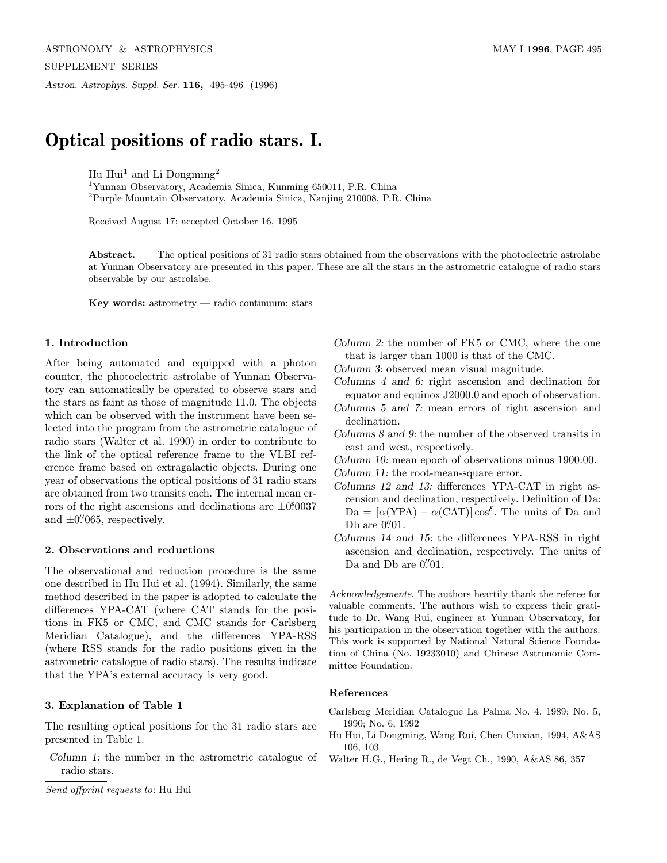Astron. Astrophys. Suppl. Ser. 116, 495-496 (1996)

# Optical positions of radio stars. I.

Hu Hui<sup>1</sup> and Li Dongming<sup>2</sup>

<sup>1</sup>Yunnan Observatory, Academia Sinica, Kunming 650011, P.R. China <sup>2</sup>Purple Mountain Observatory, Academia Sinica, Nanjing 210008, P.R. China

Received August 17; accepted October 16, 1995

Abstract. — The optical positions of 31 radio stars obtained from the observations with the photoelectric astrolabe at Yunnan Observatory are presented in this paper. These are all the stars in the astrometric catalogue of radio stars observable by our astrolabe.

Key words: astrometry — radio continuum: stars

## 1. Introduction

After being automated and equipped with a photon counter, the photoelectric astrolabe of Yunnan Observatory can automatically be operated to observe stars and the stars as faint as those of magnitude 11.0. The objects which can be observed with the instrument have been selected into the program from the astrometric catalogue of radio stars (Walter et al. 1990) in order to contribute to the link of the optical reference frame to the VLBI reference frame based on extragalactic objects. During one year of observations the optical positions of 31 radio stars are obtained from two transits each. The internal mean errors of the right ascensions and declinations are  $\pm 0.0037$ and  $\pm 0\rlap{.}^{\prime\prime}065$ , respectively.

#### 2. Observations and reductions

The observational and reduction procedure is the same one described in Hu Hui et al. (1994). Similarly, the same method described in the paper is adopted to calculate the differences YPA-CAT (where CAT stands for the positions in FK5 or CMC, and CMC stands for Carlsberg Meridian Catalogue), and the differences YPA-RSS (where RSS stands for the radio positions given in the astrometric catalogue of radio stars). The results indicate that the YPA's external accuracy is very good.

### 3. Explanation of Table 1

The resulting optical positions for the 31 radio stars are presented in Table 1.

Column 1: the number in the astrometric catalogue of radio stars.

Column 2: the number of FK5 or CMC, where the one that is larger than 1000 is that of the CMC.

Column 3: observed mean visual magnitude.

Columns 4 and 6: right ascension and declination for equator and equinox J2000.0 and epoch of observation.

- Columns 5 and 7: mean errors of right ascension and declination.
- Columns 8 and 9: the number of the observed transits in east and west, respectively.
- Column 10: mean epoch of observations minus 1900.00. Column 11: the root-mean-square error.
- 
- Columns 12 and 13: differences YPA-CAT in right ascension and declination, respectively. Definition of Da:  $Da = [\alpha(YPA) - \alpha(CAT)] \cos^{\delta}$ . The units of Da and Db are  $0\rlap.{''}01.$
- Columns 14 and 15: the differences YPA-RSS in right ascension and declination, respectively. The units of Da and Db are  $0\rlap.{''}01.$

Acknowledgements. The authors heartily thank the referee for valuable comments. The authors wish to express their gratitude to Dr. Wang Rui, engineer at Yunnan Observatory, for his participation in the observation together with the authors. This work is supported by National Natural Science Foundation of China (No. 19233010) and Chinese Astronomic Committee Foundation.

#### References

- Carlsberg Meridian Catalogue La Palma No. 4, 1989; No. 5, 1990; No. 6, 1992
- Hu Hui, Li Dongming, Wang Rui, Chen Cuixian, 1994, A&AS 106, 103
- Walter H.G., Hering R., de Vegt Ch., 1990, A&AS 86, 357